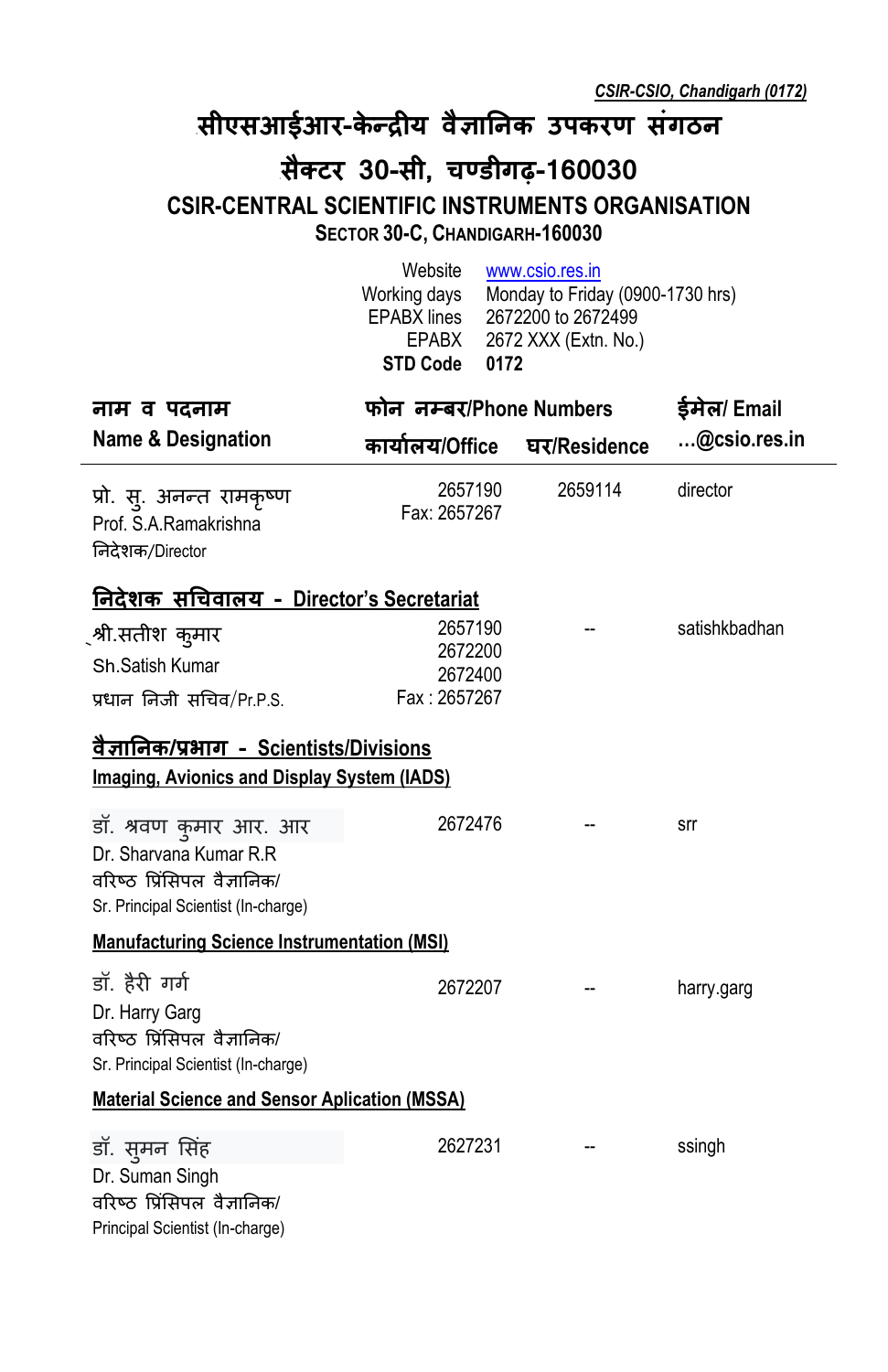## **<sup>0</sup>सीएसआईआर-के न् द्र�य वै�ा�नक उपकरण संगठन**

## **<sup>1</sup>सैक् टर 30-सी, चण् डीगढ़-160030 CSIR-CENTRAL SCIENTIFIC INSTRUMENTS ORGANISATION SECTOR 30-C, CHANDIGARH-160030**

|                                                                                                                        | Website<br>Working days<br>EPABX lines<br>EPABX<br><b>STD Code</b><br>0172 | www.csio.res.in<br>Monday to Friday (0900-1730 hrs)<br>2672200 to 2672499<br>2672 XXX (Extn. No.) |               |  |
|------------------------------------------------------------------------------------------------------------------------|----------------------------------------------------------------------------|---------------------------------------------------------------------------------------------------|---------------|--|
| नाम व पदनाम                                                                                                            | फोन नम्बर/Phone Numbers                                                    | ईमेल/ Email                                                                                       |               |  |
| <b>Name &amp; Designation</b>                                                                                          | कार्यालय/Office घर/Residence                                               |                                                                                                   | @csio.res.in  |  |
| प्रो. स्. अनन्त रामकृष्ण<br>Prof. S.A.Ramakrishna<br>निदेशक/Director                                                   | 2657190<br>Fax: 2657267                                                    | 2659114                                                                                           | director      |  |
| <u>निदेशक सचिवालय - Director's Secretariat</u>                                                                         |                                                                            |                                                                                                   |               |  |
| ्श्री.सतीश कुमार<br>Sh.Satish Kumar<br>प्रधान निजी सचिव/Pr.P.S.                                                        | 2657190<br>2672200<br>2672400<br>Fax: 2657267                              |                                                                                                   | satishkbadhan |  |
| <u>वैज्ञानिक/प्रभाग - Scientists/Divisions</u><br>Imaging, Avionics and Display System (IADS)                          |                                                                            |                                                                                                   |               |  |
| डॉ. श्रवण कुमार आर. आर<br>Dr. Sharvana Kumar R.R<br>वरिष्ठ प्रिंसिपल वैज्ञानिक/<br>Sr. Principal Scientist (In-charge) | 2672476                                                                    |                                                                                                   | srr           |  |
| <b>Manufacturing Science Instrumentation (MSI)</b>                                                                     |                                                                            |                                                                                                   |               |  |
| डॉ. हैरी गर्ग<br>Dr. Harry Garg<br>वरिष्ठ प्रिंसिपल वैज्ञानिक/<br>Sr. Principal Scientist (In-charge)                  | 2672207                                                                    |                                                                                                   | harry.garg    |  |
| <b>Material Science and Sensor Aplication (MSSA)</b>                                                                   |                                                                            |                                                                                                   |               |  |
| डॉ. सुमन सिंह<br>Dr. Suman Singh<br>वरिष्ठ प्रिंसिपल वैज्ञानिक/<br>Principal Scientist (In-charge)                     | 2627231                                                                    |                                                                                                   | ssingh        |  |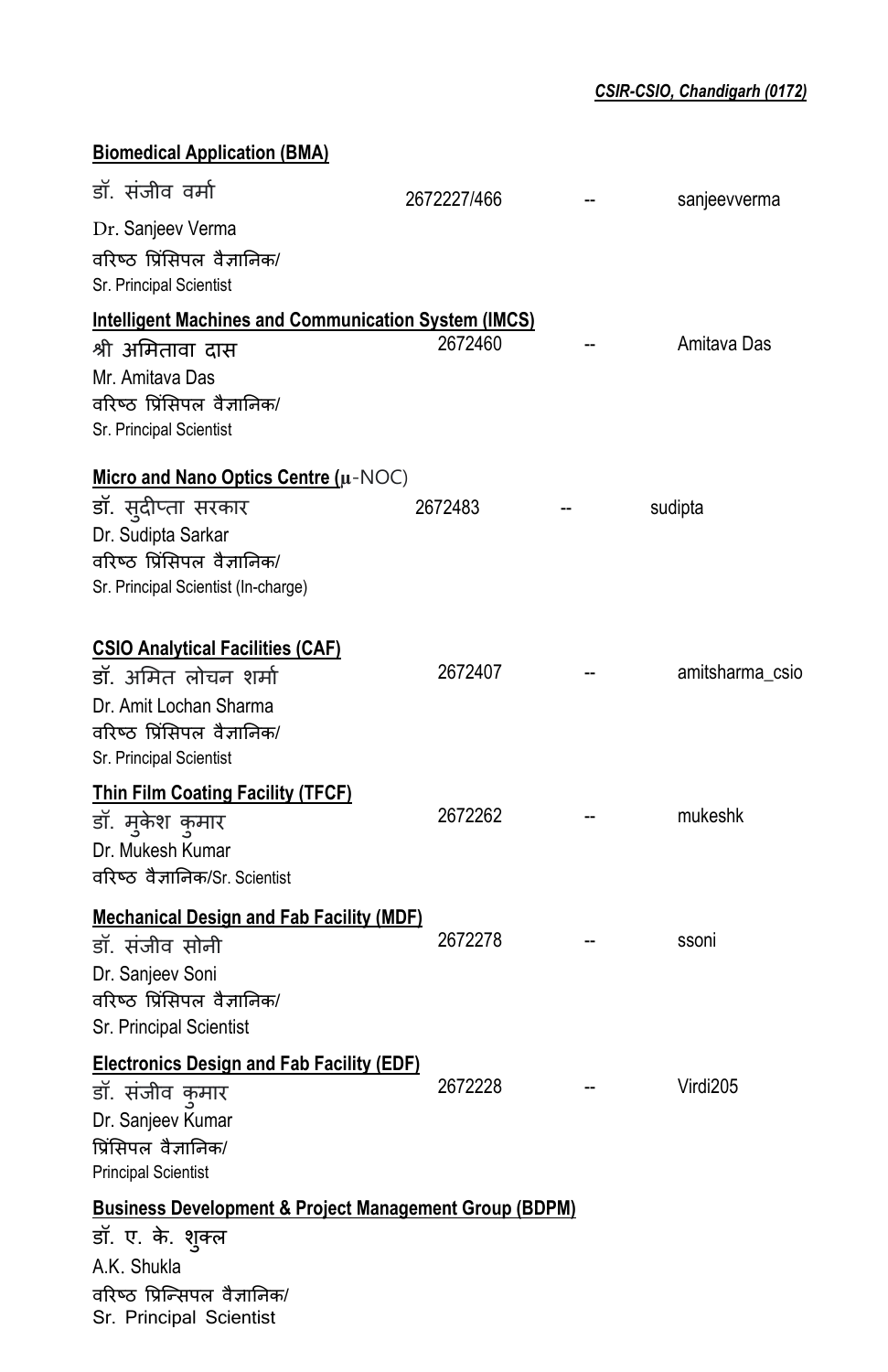| <b>Biomedical Application (BMA)</b>                               |             |                 |
|-------------------------------------------------------------------|-------------|-----------------|
| डॉ. संजीव वर्मा                                                   | 2672227/466 | sanjeevverma    |
| Dr. Sanjeev Verma                                                 |             |                 |
| वरिष्ठ प्रिंसिपल वैज्ञानिक/                                       |             |                 |
| Sr. Principal Scientist                                           |             |                 |
| <b>Intelligent Machines and Communication System (IMCS)</b>       |             |                 |
| श्री अमितावा दास                                                  | 2672460     | Amitava Das     |
| Mr. Amitava Das                                                   |             |                 |
| वरिष्ठ प्रिंसिपल वैज्ञानिक/<br>Sr. Principal Scientist            |             |                 |
| Micro and Nano Optics Centre (µ-NOC)                              |             |                 |
| डॉ. सुदीप्ता सरकार                                                | 2672483     | sudipta         |
| Dr. Sudipta Sarkar                                                |             |                 |
| वरिष्ठ प्रिंसिपल वैज्ञानिक/                                       |             |                 |
| Sr. Principal Scientist (In-charge)                               |             |                 |
| <b>CSIO Analytical Facilities (CAF)</b>                           |             |                 |
| डॉ. अमित लोचन शर्मा                                               | 2672407     | amitsharma_csio |
| Dr. Amit Lochan Sharma                                            |             |                 |
| वरिष्ठ प्रिंसिपल वैज्ञानिक/                                       |             |                 |
| Sr. Principal Scientist                                           |             |                 |
| <b>Thin Film Coating Facility (TFCF)</b>                          |             |                 |
| डॉ. मुकेश कुमार                                                   | 2672262     | mukeshk         |
| Dr. Mukesh Kumar                                                  |             |                 |
| वरिष्ठ वैज्ञानिक/Sr. Scientist                                    |             |                 |
| <b>Mechanical Design and Fab Facility (MDF)</b>                   |             |                 |
| डॉ. संजीव सोनी                                                    | 2672278     | ssoni           |
| Dr. Sanjeev Soni                                                  |             |                 |
| वरिष्ठ प्रिंसिपल वैज्ञानिक/                                       |             |                 |
| Sr. Principal Scientist                                           |             |                 |
| <b>Electronics Design and Fab Facility (EDF)</b>                  |             |                 |
| डॉ. संजीव कुमार                                                   | 2672228     | Virdi205        |
| Dr. Sanjeev Kumar                                                 |             |                 |
| प्रिंसिपल वैज्ञानिक/                                              |             |                 |
| <b>Principal Scientist</b>                                        |             |                 |
| <b>Business Development &amp; Project Management Group (BDPM)</b> |             |                 |
| डॉ. ए. के. शुक्ल                                                  |             |                 |
| A.K. Shukla<br>वरिष्ठ प्रिन्सिपल वैज्ञानिक/                       |             |                 |
|                                                                   |             |                 |

Sr. Principal Scientist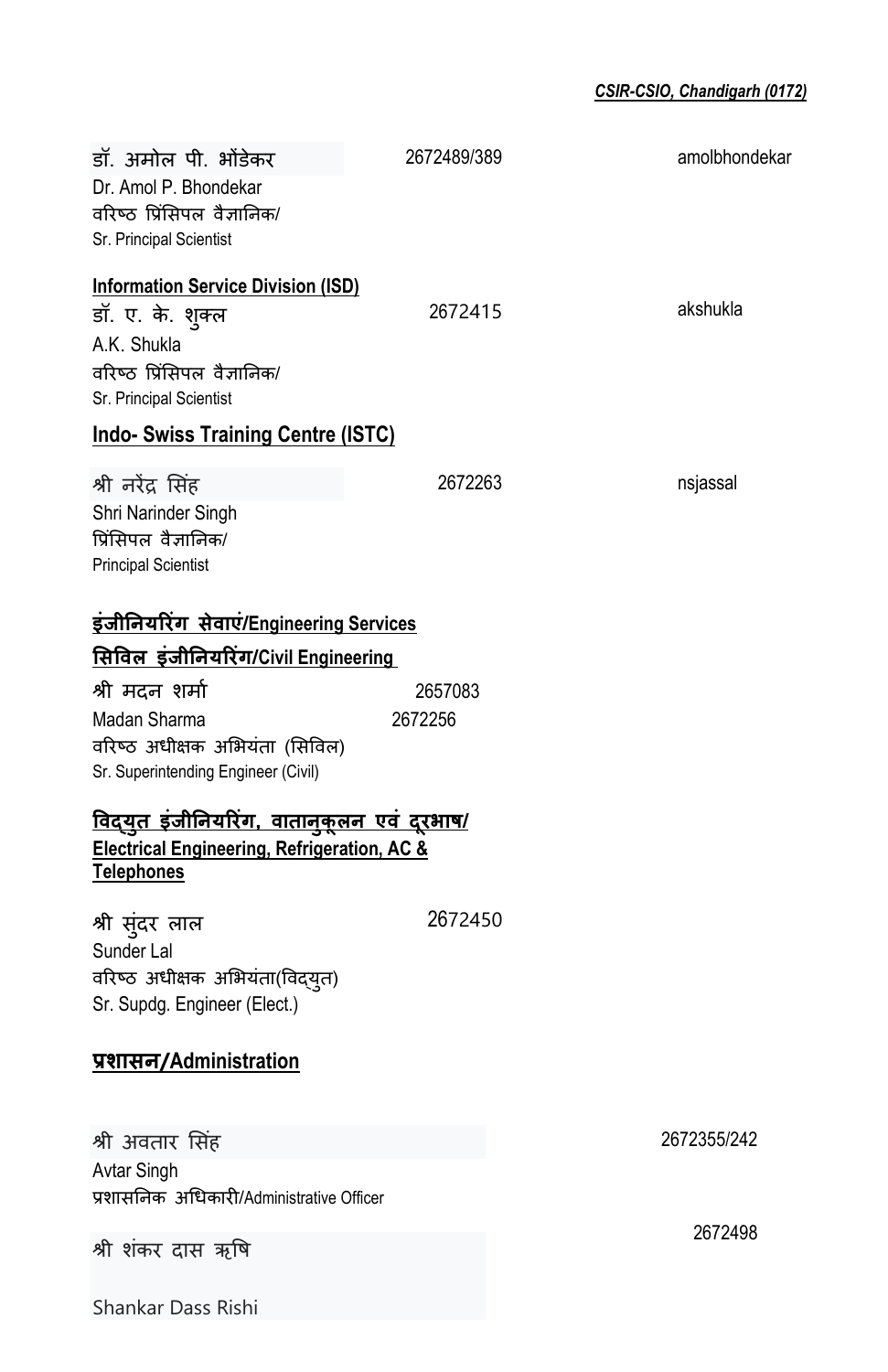| डॉ. अमोल पी. भोंडेकर<br>Dr. Amol P. Bhondekar<br>वरिष्ठ प्रिंसिपल वैज्ञानिक/<br>Sr. Principal Scientist                                | 2672489/389 | amolbhondekar |
|----------------------------------------------------------------------------------------------------------------------------------------|-------------|---------------|
| <b>Information Service Division (ISD)</b><br>डॉ. ए. के. शुक्ल<br>A.K. Shukla<br>वरिष्ठ प्रिंसिपल वैज्ञानिक/<br>Sr. Principal Scientist | 2672415     | akshukla      |
| <b>Indo- Swiss Training Centre (ISTC)</b>                                                                                              |             |               |
| श्री नरेंद्र सिंह<br>Shri Narinder Singh<br>प्रिंसिपल वैज्ञानिक/<br><b>Principal Scientist</b>                                         | 2672263     | nsjassal      |
| <u>इंजीनियरिंग  सेवाएं/Engineering Services</u>                                                                                        |             |               |
| <u>सिविल इंजीनियरिंग/Civil Engineering</u>                                                                                             |             |               |
| श्री मदन शर्मा                                                                                                                         | 2657083     |               |
| Madan Sharma<br>वरिष्ठ अधीक्षक अभियंता (सिविल)<br>Sr. Superintending Engineer (Civil)                                                  | 2672256     |               |
| <u>विद्युत इंजीनियरिंग, वातानुकूलन एवं दूरभाष/</u><br><b>Electrical Engineering, Refrigeration, AC &amp;</b><br><b>Telephones</b>      |             |               |
| श्री सुंदर लाल<br>Sunder Lal<br>वरिष्ठ अधीक्षक अभियंता(विद्युत)<br>Sr. Supdg. Engineer (Elect.)                                        | 2672450     |               |
| प्रशासन/Administration                                                                                                                 |             |               |
| श्री अवतार सिंह                                                                                                                        |             | 2672355/242   |
| Avtar Singh<br>प्रशासनिक अधिकारी/Administrative Officer                                                                                |             |               |
| श्री शंकर दास ऋषि                                                                                                                      |             | 2672498       |

Shankar Dass Rishi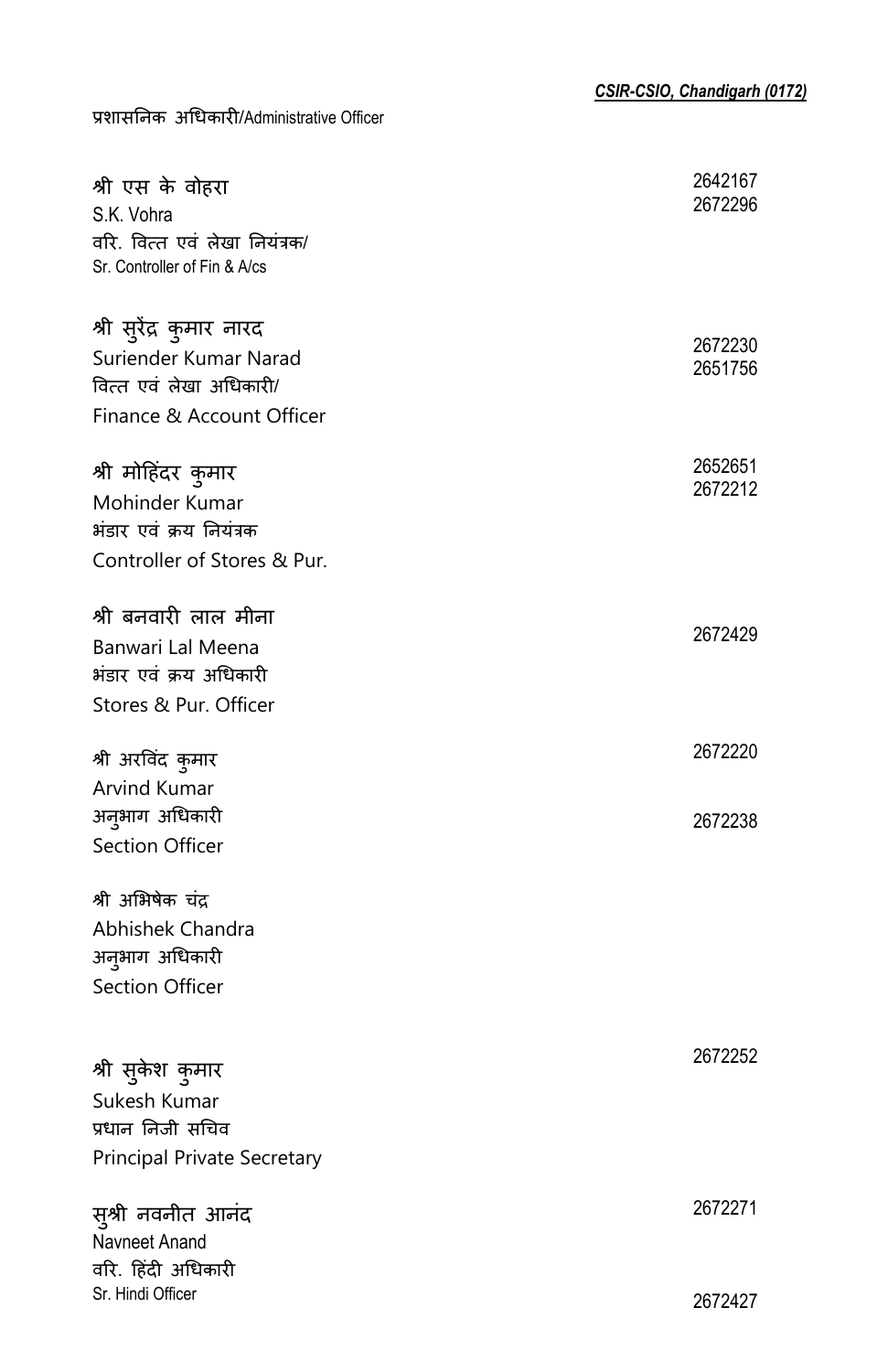| श्री एस के वोहरा<br>S.K. Vohra<br>वरि. वित्त एवं लेखा नियंत्रक/<br>Sr. Controller of Fin & A/cs           | 2642167<br>2672296 |
|-----------------------------------------------------------------------------------------------------------|--------------------|
| श्री सुरेंद्र कुमार नारद<br>Suriender Kumar Narad<br>वित्त एवं लेखा अधिकारी/<br>Finance & Account Officer | 2672230<br>2651756 |
| श्री मोहिंदर कुमार<br>Mohinder Kumar<br>भंडार एवं क्रय नियंत्रक<br>Controller of Stores & Pur.            | 2652651<br>2672212 |
| श्री बनवारी लाल मीना<br>Banwari Lal Meena<br>भंडार एवं क्रय अधिकारी<br>Stores & Pur. Officer              | 2672429            |
| श्री अरविंद कुमार                                                                                         | 2672220            |
| Arvind Kumar<br>अनुभाग अधिकारी<br><b>Section Officer</b>                                                  | 2672238            |
| श्री अभिषेक चंद्र<br>Abhishek Chandra<br>अनुभाग अधिकारी<br>Section Officer                                |                    |
| श्री सुकेश कुमार<br>Sukesh Kumar<br>प्रधान निजी सचिव<br>Principal Private Secretary                       | 2672252            |
| सुश्री नवनीत आनंद<br>Navneet Anand<br>वरि. हिंदी अधिकारी                                                  | 2672271            |
| Sr. Hindi Officer                                                                                         | 2672427            |

प्रशास�नक अ�धकार�/Administrative Officer